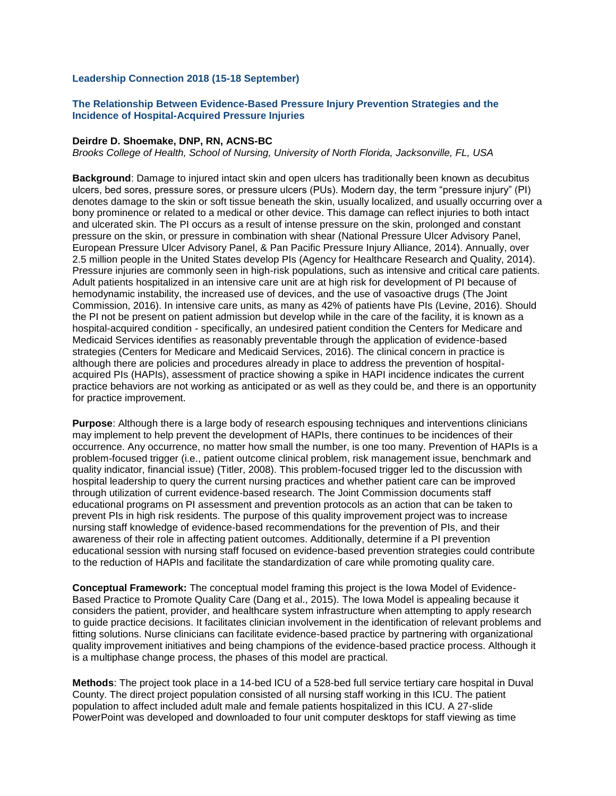## **Leadership Connection 2018 (15-18 September)**

# **The Relationship Between Evidence-Based Pressure Injury Prevention Strategies and the Incidence of Hospital-Acquired Pressure Injuries**

### **Deirdre D. Shoemake, DNP, RN, ACNS-BC**

*Brooks College of Health, School of Nursing, University of North Florida, Jacksonville, FL, USA*

**Background**: Damage to injured intact skin and open ulcers has traditionally been known as decubitus ulcers, bed sores, pressure sores, or pressure ulcers (PUs). Modern day, the term "pressure injury" (PI) denotes damage to the skin or soft tissue beneath the skin, usually localized, and usually occurring over a bony prominence or related to a medical or other device. This damage can reflect injuries to both intact and ulcerated skin. The PI occurs as a result of intense pressure on the skin, prolonged and constant pressure on the skin, or pressure in combination with shear (National Pressure Ulcer Advisory Panel, European Pressure Ulcer Advisory Panel, & Pan Pacific Pressure Injury Alliance, 2014). Annually, over 2.5 million people in the United States develop PIs (Agency for Healthcare Research and Quality, 2014). Pressure injuries are commonly seen in high-risk populations, such as intensive and critical care patients. Adult patients hospitalized in an intensive care unit are at high risk for development of PI because of hemodynamic instability, the increased use of devices, and the use of vasoactive drugs (The Joint Commission, 2016). In intensive care units, as many as 42% of patients have PIs (Levine, 2016). Should the PI not be present on patient admission but develop while in the care of the facility, it is known as a hospital-acquired condition - specifically, an undesired patient condition the Centers for Medicare and Medicaid Services identifies as reasonably preventable through the application of evidence-based strategies (Centers for Medicare and Medicaid Services, 2016). The clinical concern in practice is although there are policies and procedures already in place to address the prevention of hospitalacquired PIs (HAPIs), assessment of practice showing a spike in HAPI incidence indicates the current practice behaviors are not working as anticipated or as well as they could be, and there is an opportunity for practice improvement.

**Purpose**: Although there is a large body of research espousing techniques and interventions clinicians may implement to help prevent the development of HAPIs, there continues to be incidences of their occurrence. Any occurrence, no matter how small the number, is one too many. Prevention of HAPIs is a problem-focused trigger (i.e., patient outcome clinical problem, risk management issue, benchmark and quality indicator, financial issue) (Titler, 2008). This problem-focused trigger led to the discussion with hospital leadership to query the current nursing practices and whether patient care can be improved through utilization of current evidence-based research. The Joint Commission documents staff educational programs on PI assessment and prevention protocols as an action that can be taken to prevent PIs in high risk residents. The purpose of this quality improvement project was to increase nursing staff knowledge of evidence-based recommendations for the prevention of PIs, and their awareness of their role in affecting patient outcomes. Additionally, determine if a PI prevention educational session with nursing staff focused on evidence-based prevention strategies could contribute to the reduction of HAPIs and facilitate the standardization of care while promoting quality care.

**Conceptual Framework:** The conceptual model framing this project is the Iowa Model of Evidence-Based Practice to Promote Quality Care (Dang et al., 2015). The Iowa Model is appealing because it considers the patient, provider, and healthcare system infrastructure when attempting to apply research to guide practice decisions. It facilitates clinician involvement in the identification of relevant problems and fitting solutions. Nurse clinicians can facilitate evidence-based practice by partnering with organizational quality improvement initiatives and being champions of the evidence-based practice process. Although it is a multiphase change process, the phases of this model are practical.

**Methods**: The project took place in a 14-bed ICU of a 528-bed full service tertiary care hospital in Duval County. The direct project population consisted of all nursing staff working in this ICU. The patient population to affect included adult male and female patients hospitalized in this ICU. A 27-slide PowerPoint was developed and downloaded to four unit computer desktops for staff viewing as time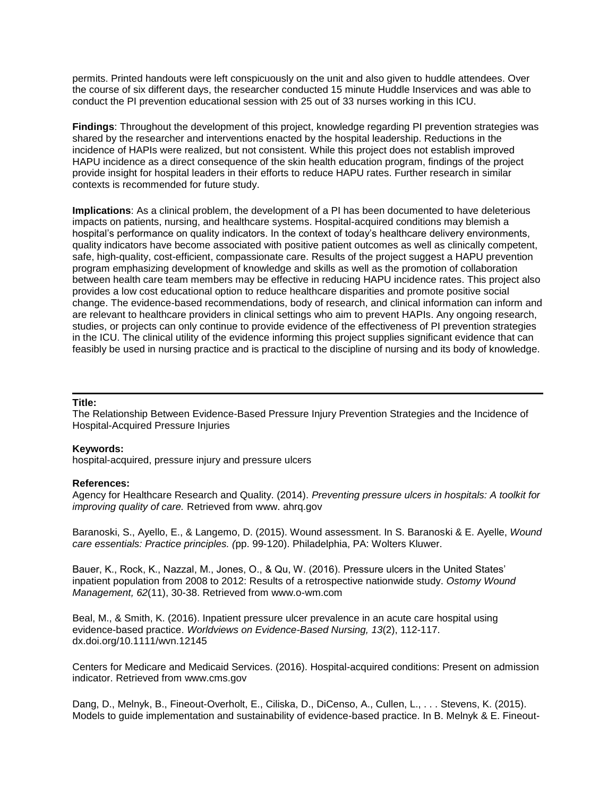permits. Printed handouts were left conspicuously on the unit and also given to huddle attendees. Over the course of six different days, the researcher conducted 15 minute Huddle Inservices and was able to conduct the PI prevention educational session with 25 out of 33 nurses working in this ICU.

**Findings**: Throughout the development of this project, knowledge regarding PI prevention strategies was shared by the researcher and interventions enacted by the hospital leadership. Reductions in the incidence of HAPIs were realized, but not consistent. While this project does not establish improved HAPU incidence as a direct consequence of the skin health education program, findings of the project provide insight for hospital leaders in their efforts to reduce HAPU rates. Further research in similar contexts is recommended for future study.

**Implications**: As a clinical problem, the development of a PI has been documented to have deleterious impacts on patients, nursing, and healthcare systems. Hospital-acquired conditions may blemish a hospital's performance on quality indicators. In the context of today's healthcare delivery environments, quality indicators have become associated with positive patient outcomes as well as clinically competent, safe, high-quality, cost-efficient, compassionate care. Results of the project suggest a HAPU prevention program emphasizing development of knowledge and skills as well as the promotion of collaboration between health care team members may be effective in reducing HAPU incidence rates. This project also provides a low cost educational option to reduce healthcare disparities and promote positive social change. The evidence-based recommendations, body of research, and clinical information can inform and are relevant to healthcare providers in clinical settings who aim to prevent HAPIs. Any ongoing research, studies, or projects can only continue to provide evidence of the effectiveness of PI prevention strategies in the ICU. The clinical utility of the evidence informing this project supplies significant evidence that can feasibly be used in nursing practice and is practical to the discipline of nursing and its body of knowledge.

#### **Title:**

The Relationship Between Evidence-Based Pressure Injury Prevention Strategies and the Incidence of Hospital-Acquired Pressure Injuries

#### **Keywords:**

hospital-acquired, pressure injury and pressure ulcers

#### **References:**

Agency for Healthcare Research and Quality. (2014). *Preventing pressure ulcers in hospitals: A toolkit for improving quality of care.* Retrieved from www. ahrq.gov

Baranoski, S., Ayello, E., & Langemo, D. (2015). Wound assessment. In S. Baranoski & E. Ayelle, *Wound care essentials: Practice principles. (*pp. 99-120). Philadelphia, PA: Wolters Kluwer.

Bauer, K., Rock, K., Nazzal, M., Jones, O., & Qu, W. (2016). Pressure ulcers in the United States' inpatient population from 2008 to 2012: Results of a retrospective nationwide study. *Ostomy Wound Management, 62*(11), 30-38. Retrieved from www.o-wm.com

Beal, M., & Smith, K. (2016). Inpatient pressure ulcer prevalence in an acute care hospital using evidence-based practice. *Worldviews on Evidence-Based Nursing, 13*(2), 112-117. dx.doi.org/10.1111/wvn.12145

Centers for Medicare and Medicaid Services. (2016). Hospital-acquired conditions: Present on admission indicator. Retrieved from www.cms.gov

Dang, D., Melnyk, B., Fineout-Overholt, E., Ciliska, D., DiCenso, A., Cullen, L., . . . Stevens, K. (2015). Models to guide implementation and sustainability of evidence-based practice. In B. Melnyk & E. Fineout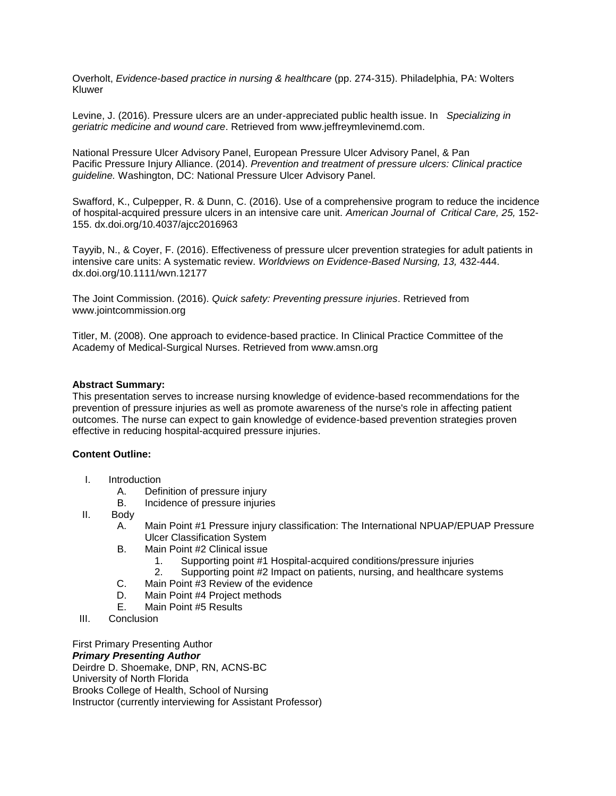Overholt, *Evidence-based practice in nursing & healthcare* (pp. 274-315). Philadelphia, PA: Wolters Kluwer

Levine, J. (2016). Pressure ulcers are an under-appreciated public health issue. In *Specializing in geriatric medicine and wound care*. Retrieved from www.jeffreymlevinemd.com.

National Pressure Ulcer Advisory Panel, European Pressure Ulcer Advisory Panel, & Pan Pacific Pressure Injury Alliance. (2014). *Prevention and treatment of pressure ulcers: Clinical practice guideline.* Washington, DC: National Pressure Ulcer Advisory Panel.

Swafford, K., Culpepper, R. & Dunn, C. (2016). Use of a comprehensive program to reduce the incidence of hospital-acquired pressure ulcers in an intensive care unit. *American Journal of Critical Care, 25,* 152- 155. dx.doi.org/10.4037/ajcc2016963

Tayyib, N., & Coyer, F. (2016). Effectiveness of pressure ulcer prevention strategies for adult patients in intensive care units: A systematic review. *Worldviews on Evidence-Based Nursing, 13,* 432-444. dx.doi.org/10.1111/wvn.12177

The Joint Commission. (2016). *Quick safety: Preventing pressure injuries*. Retrieved from www.jointcommission.org

Titler, M. (2008). One approach to evidence-based practice. In Clinical Practice Committee of the Academy of Medical-Surgical Nurses. Retrieved from www.amsn.org

## **Abstract Summary:**

This presentation serves to increase nursing knowledge of evidence-based recommendations for the prevention of pressure injuries as well as promote awareness of the nurse's role in affecting patient outcomes. The nurse can expect to gain knowledge of evidence-based prevention strategies proven effective in reducing hospital-acquired pressure injuries.

## **Content Outline:**

- I. Introduction
	- A. Definition of pressure injury
	- B. Incidence of pressure injuries
- II. Body
	- A. Main Point #1 Pressure injury classification: The International NPUAP/EPUAP Pressure Ulcer Classification System
	- B. Main Point #2 Clinical issue
		- 1. Supporting point #1 Hospital-acquired conditions/pressure injuries
		- 2. Supporting point #2 Impact on patients, nursing, and healthcare systems
	- C. Main Point #3 Review of the evidence
	- D. Main Point #4 Project methods
	- E. Main Point #5 Results
- III. Conclusion

First Primary Presenting Author

#### *Primary Presenting Author*

Deirdre D. Shoemake, DNP, RN, ACNS-BC University of North Florida Brooks College of Health, School of Nursing Instructor (currently interviewing for Assistant Professor)